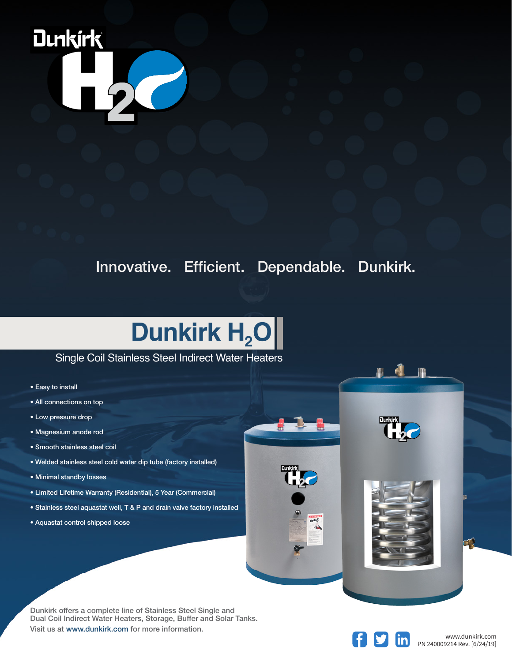

Innovative. Efficient. Dependable. Dunkirk.

## **Dunkirk H<sub>2</sub>O**

## Single Coil Stainless Steel Indirect Water Heaters

- Easy to install
- All connections on top
- Low pressure drop
- Magnesium anode rod
- Smooth stainless steel coil
- Welded stainless steel cold water dip tube (factory installed)
- Minimal standby losses
- Limited Lifetime Warranty (Residential), 5 Year (Commercial)
- Stainless steel aquastat well, T & P and drain valve factory installed
- Aquastat control shipped loose

Dunkirk offers a complete line of Stainless Steel Single and Dual Coil Indirect Water Heaters, Storage, Buffer and Solar Tanks. Visit us at www.dunkirk.com for more information.